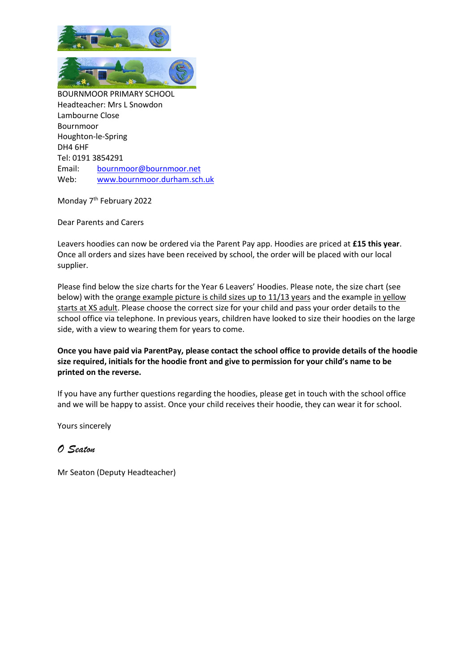

Monday 7<sup>th</sup> February 2022

Dear Parents and Carers

Leavers hoodies can now be ordered via the Parent Pay app. Hoodies are priced at **£15 this year**. Once all orders and sizes have been received by school, the order will be placed with our local supplier.

Please find below the size charts for the Year 6 Leavers' Hoodies. Please note, the size chart (see below) with the orange example picture is child sizes up to 11/13 years and the example in yellow starts at XS adult. Please choose the correct size for your child and pass your order details to the school office via telephone. In previous years, children have looked to size their hoodies on the large side, with a view to wearing them for years to come.

## **Once you have paid via ParentPay, please contact the school office to provide details of the hoodie size required, initials for the hoodie front and give to permission for your child's name to be printed on the reverse.**

If you have any further questions regarding the hoodies, please get in touch with the school office and we will be happy to assist. Once your child receives their hoodie, they can wear it for school.

Yours sincerely

## *O Seaton*

Mr Seaton (Deputy Headteacher)